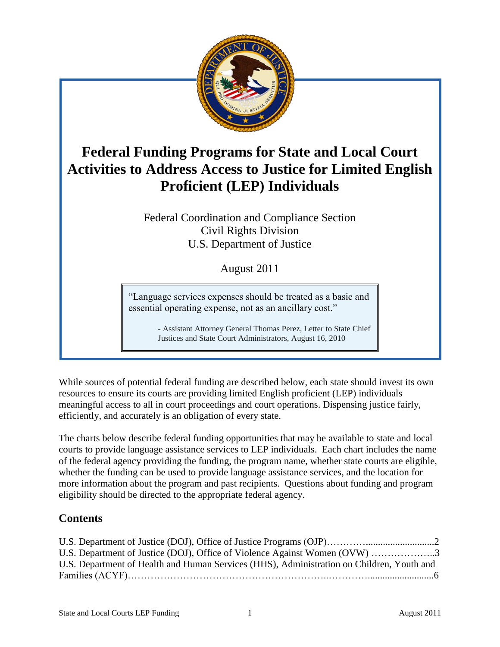

# **Federal Funding Programs for State and Local Court Activities to Address Access to Justice for Limited English Proficient (LEP) Individuals**

Federal Coordination and Compliance Section Civil Rights Division U.S. Department of Justice

August 2011

"Language services expenses should be treated as a basic and essential operating expense, not as an ancillary cost."

> - Assistant Attorney General Thomas Perez, Letter to State Chief Justices and State Court Administrators, August 16, 2010

While sources of potential federal funding are described below, each state should invest its own resources to ensure its courts are providing limited English proficient (LEP) individuals meaningful access to all in court proceedings and court operations. Dispensing justice fairly, efficiently, and accurately is an obligation of every state.

The charts below describe federal funding opportunities that may be available to state and local courts to provide language assistance services to LEP individuals. Each chart includes the name of the federal agency providing the funding, the program name, whether state courts are eligible, whether the funding can be used to provide language assistance services, and the location for more information about the program and past recipients. Questions about funding and program eligibility should be directed to the appropriate federal agency.

## **Contents**

| U.S. Department of Justice (DOJ), Office of Violence Against Women (OVW) 3                |  |
|-------------------------------------------------------------------------------------------|--|
| U.S. Department of Health and Human Services (HHS), Administration on Children, Youth and |  |
|                                                                                           |  |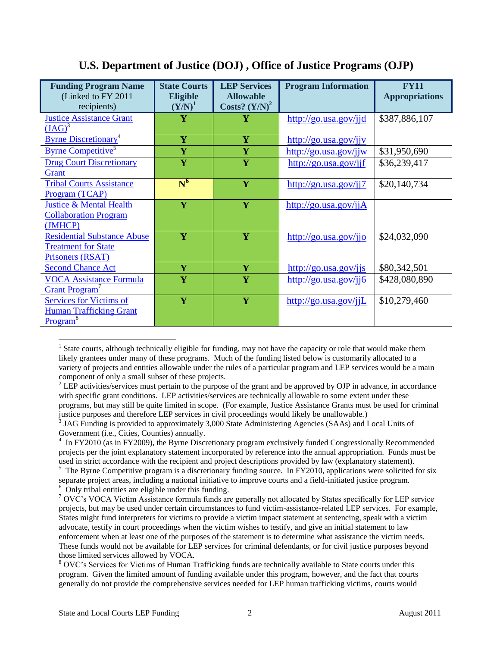| <b>Funding Program Name</b>             | <b>State Courts</b>     | <b>LEP Services</b> | <b>Program Information</b>                            | <b>FY11</b>           |
|-----------------------------------------|-------------------------|---------------------|-------------------------------------------------------|-----------------------|
| (Linked to FY 2011)                     | <b>Eligible</b>         | <b>Allowable</b>    |                                                       | <b>Appropriations</b> |
| recipients)                             | $(Y/N)^1$               | Costs? $(Y/N)^2$    |                                                       |                       |
| <b>Justice Assistance Grant</b>         | $\overline{\mathbf{Y}}$ | Y                   | http://go.usa.gov/jjd                                 | \$387,886,107         |
| $(JAG)^3$                               |                         |                     |                                                       |                       |
| <b>Byrne Discretionary</b> <sup>4</sup> | $\overline{\mathbf{Y}}$ | Y                   | http://go.usa.gov/jjv                                 |                       |
| <b>Byrne Competitive</b>                | Y                       | Y                   | http://go.usa.gov/jjw                                 | \$31,950,690          |
| <b>Drug Court Discretionary</b>         | Y                       | Y                   | http://go.usa.gov/jjf                                 | \$36,239,417          |
| Grant                                   |                         |                     |                                                       |                       |
| <b>Tribal Courts Assistance</b>         | $\overline{N}^6$        | Y                   | http://go.usa.gov/jj7                                 | \$20,140,734          |
| Program (TCAP)                          |                         |                     |                                                       |                       |
| <b>Justice &amp; Mental Health</b>      | Y                       | Y                   | $\frac{http://go.usa.gov/ijA}{http://go.usa.gov/ijA}$ |                       |
| <b>Collaboration Program</b>            |                         |                     |                                                       |                       |
| (JMHCP)                                 |                         |                     |                                                       |                       |
| <b>Residential Substance Abuse</b>      | $\overline{\mathbf{Y}}$ | Y                   | $\frac{http://go.usa.gov/ijo}{http://go.usa.gov/ijo}$ | \$24,032,090          |
| <b>Treatment for State</b>              |                         |                     |                                                       |                       |
| Prisoners (RSAT)                        |                         |                     |                                                       |                       |
| <b>Second Chance Act</b>                | $\overline{\mathbf{Y}}$ | Y                   | http://go.usa.gov/jjs                                 | \$80,342,501          |
| <b>VOCA Assistance Formula</b>          | Y                       | $\mathbf{Y}$        | http://go.usa.gov/jj6                                 | \$428,080,890         |
| Grant Program                           |                         |                     |                                                       |                       |
| <b>Services for Victims of</b>          | Y                       | Y                   | $\frac{http://go.usa.gov/ijL}{http://go.usa.gov/ijL}$ | \$10,279,460          |
| <b>Human Trafficking Grant</b>          |                         |                     |                                                       |                       |
| <b>Program</b> <sup>8</sup>             |                         |                     |                                                       |                       |

#### **U.S. Department of Justice (DOJ) , Office of Justice Programs (OJP)**

 $1$  State courts, although technically eligible for funding, may not have the capacity or role that would make them likely grantees under many of these programs. Much of the funding listed below is customarily allocated to a variety of projects and entities allowable under the rules of a particular program and LEP services would be a main component of only a small subset of these projects.

<sup>&</sup>lt;sup>2</sup> LEP activities/services must pertain to the purpose of the grant and be approved by OJP in advance, in accordance with specific grant conditions. LEP activities/services are technically allowable to some extent under these programs, but may still be quite limited in scope. (For example, Justice Assistance Grants must be used for criminal justice purposes and therefore LEP services in civil proceedings would likely be unallowable.)

<sup>&</sup>lt;sup>3</sup> JAG Funding is provided to approximately 3,000 State Administering Agencies (SAAs) and Local Units of Government (i.e., Cities, Counties) annually.

<sup>&</sup>lt;sup>4</sup> In FY2010 (as in FY2009), the Byrne Discretionary program exclusively funded Congressionally Recommended projects per the joint explanatory statement incorporated by reference into the annual appropriation. Funds must be used in strict accordance with the recipient and project descriptions provided by law (explanatory statement).

<sup>&</sup>lt;sup>5</sup> The Byrne Competitive program is a discretionary funding source. In FY2010, applications were solicited for six separate project areas, including a national initiative to improve courts and a field-initiated justice program. <sup>6</sup> Only tribal entities are eligible under this funding.

<sup>&</sup>lt;sup>7</sup> OVC's VOCA Victim Assistance formula funds are generally not allocated by States specifically for LEP service projects, but may be used under certain circumstances to fund victim-assistance-related LEP services. For example, States might fund interpreters for victims to provide a victim impact statement at sentencing, speak with a victim advocate, testify in court proceedings when the victim wishes to testify, and give an initial statement to law enforcement when at least one of the purposes of the statement is to determine what assistance the victim needs. These funds would not be available for LEP services for criminal defendants, or for civil justice purposes beyond those limited services allowed by VOCA.

<sup>&</sup>lt;sup>8</sup> OVC's Services for Victims of Human Trafficking funds are technically available to State courts under this program. Given the limited amount of funding available under this program, however, and the fact that courts generally do not provide the comprehensive services needed for LEP human trafficking victims, courts would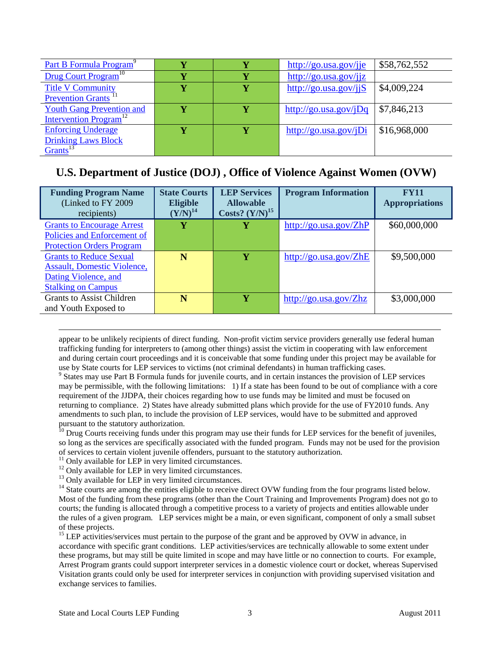| Part B Formula Program <sup>9</sup>       |  | $http://go.usa.gov/ije$  | \$58,762,552 |
|-------------------------------------------|--|--------------------------|--------------|
| Drug Court Program <sup>10</sup>          |  | http://go.usa.gov/ijz    |              |
| <b>Title V Community</b>                  |  | http://go.usa.gov/jj $S$ | \$4,009,224  |
| Prevention Grants <sup>11</sup>           |  |                          |              |
| <b>Youth Gang Prevention and</b>          |  | $http://go.usa.gov/jDq$  | \$7,846,213  |
| <b>Intervention Program</b> <sup>12</sup> |  |                          |              |
| <b>Enforcing Underage</b>                 |  | $http://go.usa.gov/jDi$  | \$16,968,000 |
| <b>Drinking Laws Block</b>                |  |                          |              |
| $G$ rants <sup>13</sup>                   |  |                          |              |

### **U.S. Department of Justice (DOJ) , Office of Violence Against Women (OVW)**

| <b>Funding Program Name</b><br>(Linked to FY 2009)<br>recipients)                                                         | <b>State Courts</b><br><b>Eligible</b><br>${\rm (Y/N)}^{14}$ | <b>LEP Services</b><br><b>Allowable</b><br>Costs? $(Y/N)^{15}$ | <b>Program Information</b>                            | <b>FY11</b><br><b>Appropriations</b> |
|---------------------------------------------------------------------------------------------------------------------------|--------------------------------------------------------------|----------------------------------------------------------------|-------------------------------------------------------|--------------------------------------|
| <b>Grants to Encourage Arrest</b><br>Policies and Enforcement of<br><b>Protection Orders Program</b>                      | Ÿ                                                            | Y                                                              | http://go.usa.gov/ZhP                                 | \$60,000,000                         |
| <b>Grants to Reduce Sexual</b><br><b>Assault, Domestic Violence,</b><br>Dating Violence, and<br><b>Stalking on Campus</b> | N                                                            | v                                                              | http://go.usa.gov/ZhE                                 | \$9,500,000                          |
| <b>Grants to Assist Children</b><br>and Youth Exposed to                                                                  | N                                                            | v                                                              | $\frac{http://go.usa.gov/Zhz}{http://go.usa.gov/Zhz}$ | \$3,000,000                          |

appear to be unlikely recipients of direct funding. Non-profit victim service providers generally use federal human trafficking funding for interpreters to (among other things) assist the victim in cooperating with law enforcement and during certain court proceedings and it is conceivable that some funding under this project may be available for use by State courts for LEP services to victims (not criminal defendants) in human trafficking cases.

<sup>9</sup> States may use Part B Formula funds for juvenile courts, and in certain instances the provision of LEP services may be permissible, with the following limitations: 1) If a state has been found to be out of compliance with a core requirement of the JJDPA, their choices regarding how to use funds may be limited and must be focused on returning to compliance. 2) States have already submitted plans which provide for the use of FY2010 funds. Any amendments to such plan, to include the provision of LEP services, would have to be submitted and approved pursuant to the statutory authorization.

 $10$  Drug Courts receiving funds under this program may use their funds for LEP services for the benefit of juveniles, so long as the services are specifically associated with the funded program. Funds may not be used for the provision of services to certain violent juvenile offenders, pursuant to the statutory authorization.

 $11$  Only available for LEP in very limited circumstances.

<sup>12</sup> Only available for LEP in very limited circumstances.

<sup>13</sup> Only available for LEP in very limited circumstances.

<sup>14</sup> State courts are among the entities eligible to receive direct OVW funding from the four programs listed below. Most of the funding from these programs (other than the Court Training and Improvements Program) does not go to courts; the funding is allocated through a competitive process to a variety of projects and entities allowable under the rules of a given program. LEP services might be a main, or even significant, component of only a small subset of these projects.

<sup>15</sup> LEP activities/services must pertain to the purpose of the grant and be approved by OVW in advance, in accordance with specific grant conditions. LEP activities/services are technically allowable to some extent under these programs, but may still be quite limited in scope and may have little or no connection to courts. For example, Arrest Program grants could support interpreter services in a domestic violence court or docket, whereas Supervised Visitation grants could only be used for interpreter services in conjunction with providing supervised visitation and exchange services to families.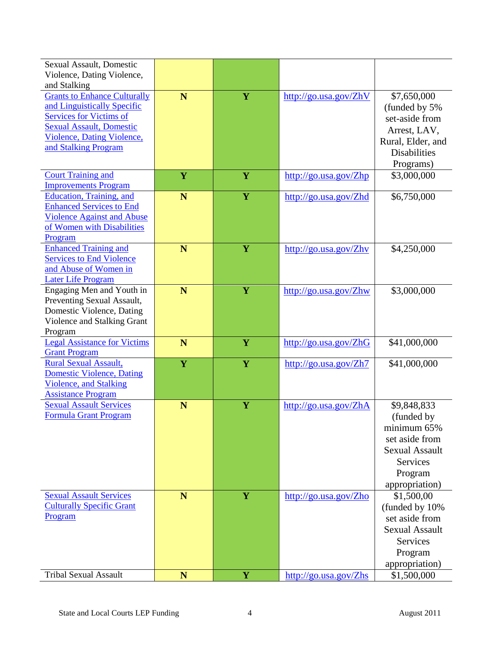| Sexual Assault, Domestic<br>Violence, Dating Violence,                                                                                                                                                               |             |   |                                                       |                                                                                                                                     |
|----------------------------------------------------------------------------------------------------------------------------------------------------------------------------------------------------------------------|-------------|---|-------------------------------------------------------|-------------------------------------------------------------------------------------------------------------------------------------|
| and Stalking<br><b>Grants to Enhance Culturally</b><br>and Linguistically Specific<br><b>Services for Victims of</b><br><b>Sexual Assault, Domestic</b><br><b>Violence, Dating Violence,</b><br>and Stalking Program | N           | Y | http://go.usa.gov/ZhV                                 | \$7,650,000<br>(funded by 5%)<br>set-aside from<br>Arrest, LAV,<br>Rural, Elder, and<br><b>Disabilities</b><br>Programs)            |
| <b>Court Training and</b><br><b>Improvements Program</b>                                                                                                                                                             | Y           | Y | $\frac{http://go.usa.gov/Zhp}{http://go.usa.gov/Zhp}$ | \$3,000,000                                                                                                                         |
| Education, Training, and<br><b>Enhanced Services to End</b><br><b>Violence Against and Abuse</b><br>of Women with Disabilities<br>Program                                                                            | N           | Y | http://go.usa.gov/Zhd                                 | \$6,750,000                                                                                                                         |
| <b>Enhanced Training and</b><br><b>Services to End Violence</b><br>and Abuse of Women in<br><b>Later Life Program</b>                                                                                                | N           | Y | http://go.usa.gov/Zhv                                 | \$4,250,000                                                                                                                         |
| Engaging Men and Youth in<br>Preventing Sexual Assault,<br>Domestic Violence, Dating<br>Violence and Stalking Grant<br>Program                                                                                       | N           | Y | http://go.usa.gov/Zhw                                 | \$3,000,000                                                                                                                         |
| <b>Legal Assistance for Victims</b><br><b>Grant Program</b>                                                                                                                                                          | N           | Y | http://go.usa.gov/ZhG                                 | \$41,000,000                                                                                                                        |
| <b>Rural Sexual Assault,</b><br><b>Domestic Violence, Dating</b><br><b>Violence</b> , and Stalking<br><b>Assistance Program</b>                                                                                      | $\mathbf Y$ | Y | $\frac{http://go.usa.gov/Zh7}{http://go.usa.gov/Zh7}$ | \$41,000,000                                                                                                                        |
| <b>Sexual Assault Services</b><br><b>Formula Grant Program</b>                                                                                                                                                       | N           | Y | http://go.usa.gov/ZhA                                 | \$9,848,833<br>(funded by<br>minimum 65%<br>set aside from<br><b>Sexual Assault</b><br><b>Services</b><br>Program<br>appropriation) |
| <b>Sexual Assault Services</b><br><b>Culturally Specific Grant</b><br>Program                                                                                                                                        | N           | Y | http://go.usa.gov/Zho                                 | \$1,500,00<br>(funded by 10%)<br>set aside from<br><b>Sexual Assault</b><br><b>Services</b><br>Program<br>appropriation)            |
| <b>Tribal Sexual Assault</b>                                                                                                                                                                                         | N           | Y | http://go.usa.gov/Zhs                                 | \$1,500,000                                                                                                                         |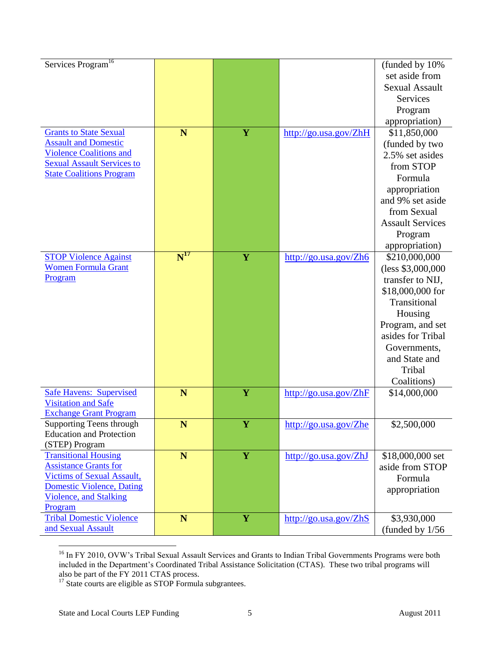| Services Program <sup>16</sup>                                     |                            |             |                       | (funded by 10%)         |
|--------------------------------------------------------------------|----------------------------|-------------|-----------------------|-------------------------|
|                                                                    |                            |             |                       | set aside from          |
|                                                                    |                            |             |                       | <b>Sexual Assault</b>   |
|                                                                    |                            |             |                       | <b>Services</b>         |
|                                                                    |                            |             |                       | Program                 |
|                                                                    |                            |             |                       | appropriation)          |
| <b>Grants to State Sexual</b>                                      | N                          | $\mathbf Y$ | http://go.usa.gov/ZhH | \$11,850,000            |
| <b>Assault and Domestic</b>                                        |                            |             |                       | (funded by two          |
| <b>Violence Coalitions and</b>                                     |                            |             |                       | 2.5% set asides         |
| <b>Sexual Assault Services to</b>                                  |                            |             |                       | from STOP               |
| <b>State Coalitions Program</b>                                    |                            |             |                       | Formula                 |
|                                                                    |                            |             |                       | appropriation           |
|                                                                    |                            |             |                       | and 9% set aside        |
|                                                                    |                            |             |                       | from Sexual             |
|                                                                    |                            |             |                       | <b>Assault Services</b> |
|                                                                    |                            |             |                       | Program                 |
|                                                                    |                            |             |                       | appropriation)          |
| <b>STOP Violence Against</b>                                       | $\overline{\text{N}}^{17}$ | Y           | http://go.usa.gov/Zh6 | \$210,000,000           |
| <b>Women Formula Grant</b>                                         |                            |             |                       | (less \$3,000,000       |
| Program                                                            |                            |             |                       | transfer to NIJ,        |
|                                                                    |                            |             |                       |                         |
|                                                                    |                            |             |                       | \$18,000,000 for        |
|                                                                    |                            |             |                       | Transitional            |
|                                                                    |                            |             |                       | Housing                 |
|                                                                    |                            |             |                       | Program, and set        |
|                                                                    |                            |             |                       | asides for Tribal       |
|                                                                    |                            |             |                       | Governments,            |
|                                                                    |                            |             |                       | and State and           |
|                                                                    |                            |             |                       | Tribal                  |
|                                                                    |                            |             |                       | Coalitions)             |
| <b>Safe Havens: Supervised</b>                                     | N                          | $\mathbf Y$ | http://go.usa.gov/ZhF | \$14,000,000            |
| <b>Visitation and Safe</b>                                         |                            |             |                       |                         |
| <b>Exchange Grant Program</b>                                      |                            |             |                       |                         |
| <b>Supporting Teens through</b><br><b>Education and Protection</b> | ${\bf N}$                  | $\mathbf Y$ | http://go.usa.gov/Zhe | \$2,500,000             |
| (STEP) Program                                                     |                            |             |                       |                         |
| <b>Transitional Housing</b>                                        | N                          | $\mathbf Y$ | http://go.usa.gov/ZhJ | \$18,000,000 set        |
| <b>Assistance Grants for</b>                                       |                            |             |                       | aside from STOP         |
| <b>Victims of Sexual Assault,</b>                                  |                            |             |                       | Formula                 |
| <b>Domestic Violence, Dating</b>                                   |                            |             |                       | appropriation           |
| <b>Violence, and Stalking</b>                                      |                            |             |                       |                         |
| Program                                                            |                            |             |                       |                         |
| <b>Tribal Domestic Violence</b>                                    | N                          | Y           | http://go.usa.gov/ZhS | \$3,930,000             |
| and Sexual Assault                                                 |                            |             |                       | (funded by $1/56$       |

<sup>&</sup>lt;sup>16</sup> In FY 2010, OVW's Tribal Sexual Assault Services and Grants to Indian Tribal Governments Programs were both included in the Department's Coordinated Tribal Assistance Solicitation (CTAS). These two tribal programs will also be part of the FY 2011 CTAS process.

 $17$  State courts are eligible as STOP Formula subgrantees.